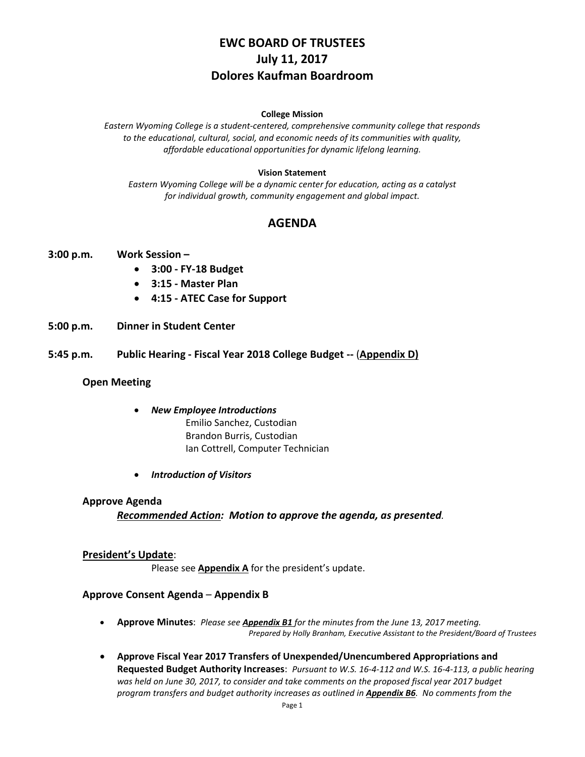# **EWC BOARD OF TRUSTEES July 11, 2017 Dolores Kaufman Boardroom**

#### **College Mission**

*Eastern Wyoming College is a student-centered, comprehensive community college that responds to the educational, cultural, social, and economic needs of its communities with quality, affordable educational opportunities for dynamic lifelong learning.*

### **Vision Statement**

*Eastern Wyoming College will be a dynamic center for education, acting as a catalyst for individual growth, community engagement and global impact.*

# **AGENDA**

- **3:00 p.m. Work Session –**
	- **3:00 - FY-18 Budget**
	- **3:15 - Master Plan**
	- **4:15 - ATEC Case for Support**
- **5:00 p.m. Dinner in Student Center**
- **5:45 p.m. Public Hearing - Fiscal Year 2018 College Budget --** (**Appendix D)**

### **Open Meeting**

- *New Employee Introductions* Emilio Sanchez, Custodian Brandon Burris, Custodian
	- Ian Cottrell, Computer Technician
- *Introduction of Visitors*

### **Approve Agenda**

*Recommended Action: Motion to approve the agenda, as presented.*

### **President's Update**:

Please see **Appendix A** for the president's update.

### **Approve Consent Agenda** – **Appendix B**

- **Approve Minutes**: *Please see Appendix B1 for the minutes from the June 13, 2017 meeting. Prepared by Holly Branham, Executive Assistant to the President/Board of Trustees*
- **Approve Fiscal Year 2017 Transfers of Unexpended/Unencumbered Appropriations and Requested Budget Authority Increases**: *Pursuant to W.S. 16-4-112 and W.S. 16-4-113, a public hearing was held on June 30, 2017, to consider and take comments on the proposed fiscal year 2017 budget program transfers and budget authority increases as outlined in Appendix B6. No comments from the*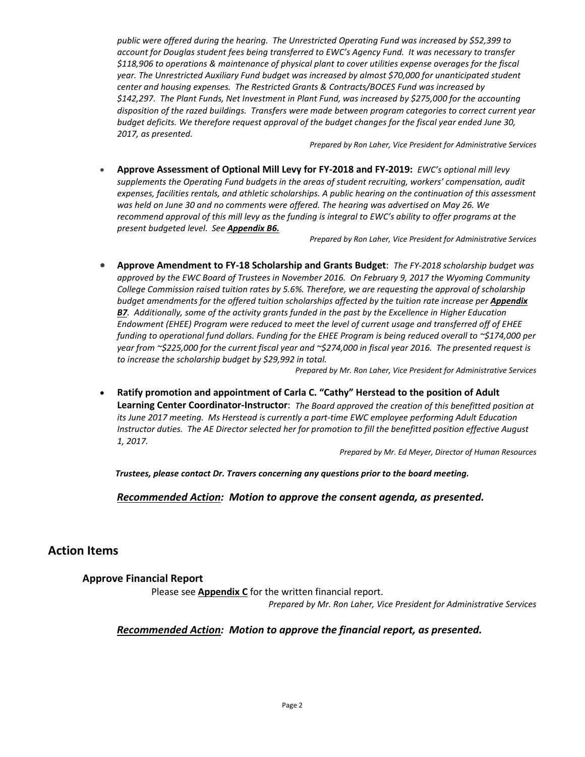*public were offered during the hearing. The Unrestricted Operating Fund was increased by \$52,399 to account for Douglas student fees being transferred to EWC's Agency Fund. It was necessary to transfer \$118,906 to operations & maintenance of physical plant to cover utilities expense overages for the fiscal year. The Unrestricted Auxiliary Fund budget was increased by almost \$70,000 for unanticipated student center and housing expenses. The Restricted Grants & Contracts/BOCES Fund was increased by \$142,297. The Plant Funds, Net Investment in Plant Fund, was increased by \$275,000 for the accounting disposition of the razed buildings. Transfers were made between program categories to correct current year budget deficits. We therefore request approval of the budget changes for the fiscal year ended June 30, 2017, as presented.*

*Prepared by Ron Laher, Vice President for Administrative Services*

• **Approve Assessment of Optional Mill Levy for FY-2018 and FY-2019:** *EWC's optional mill levy supplements the Operating Fund budgets in the areas of student recruiting, workers' compensation, audit expenses, facilities rentals, and athletic scholarships. A public hearing on the continuation of this assessment was held on June 30 and no comments were offered. The hearing was advertised on May 26. We recommend approval of this mill levy as the funding is integral to EWC's ability to offer programs at the present budgeted level. See Appendix B6.*

*Prepared by Ron Laher, Vice President for Administrative Services*

• **Approve Amendment to FY-18 Scholarship and Grants Budget**: *The FY-2018 scholarship budget was approved by the EWC Board of Trustees in November 2016. On February 9, 2017 the Wyoming Community College Commission raised tuition rates by 5.6%. Therefore, we are requesting the approval of scholarship budget amendments for the offered tuition scholarships affected by the tuition rate increase per Appendix B7. Additionally, some of the activity grants funded in the past by the Excellence in Higher Education Endowment (EHEE) Program were reduced to meet the level of current usage and transferred off of EHEE funding to operational fund dollars. Funding for the EHEE Program is being reduced overall to ~\$174,000 per year from ~\$225,000 for the current fiscal year and ~\$274,000 in fiscal year 2016. The presented request is to increase the scholarship budget by \$29,992 in total.*

*Prepared by Mr. Ron Laher, Vice President for Administrative Services*

• **Ratify promotion and appointment of Carla C. "Cathy" Herstead to the position of Adult Learning Center Coordinator-Instructor**: *The Board approved the creation of this benefitted position at its June 2017 meeting. Ms Herstead is currently a part-time EWC employee performing Adult Education Instructor duties. The AE Director selected her for promotion to fill the benefitted position effective August 1, 2017.*

*Prepared by Mr. Ed Meyer, Director of Human Resources*

*Trustees, please contact Dr. Travers concerning any questions prior to the board meeting.*

*Recommended Action: Motion to approve the consent agenda, as presented.*

# **Action Items**

**Approve Financial Report**

Please see **Appendix C** for the written financial report.

*Prepared by Mr. Ron Laher, Vice President for Administrative Services*

### *Recommended Action: Motion to approve the financial report, as presented.*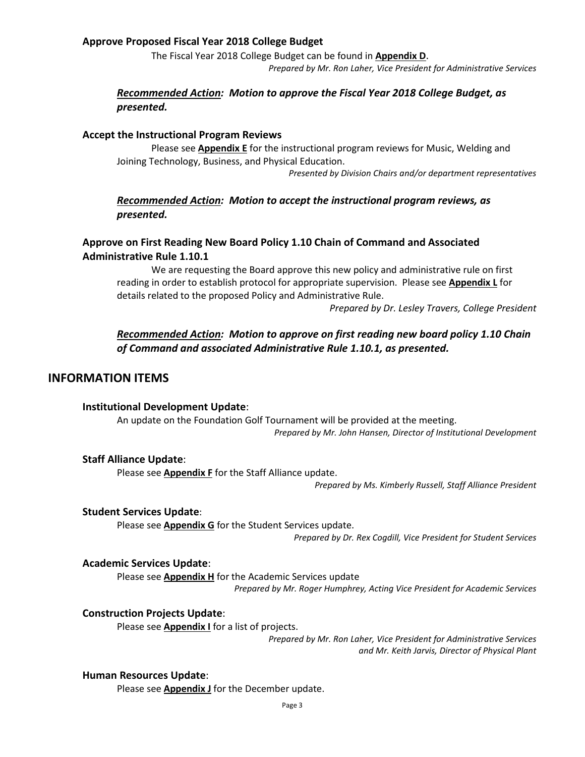### **Approve Proposed Fiscal Year 2018 College Budget**

The Fiscal Year 2018 College Budget can be found in **Appendix D**.

*Prepared by Mr. Ron Laher, Vice President for Administrative Services*

### *Recommended Action: Motion to approve the Fiscal Year 2018 College Budget, as presented.*

### **Accept the Instructional Program Reviews**

Please see **Appendix E** for the instructional program reviews for Music, Welding and Joining Technology, Business, and Physical Education.

*Presented by Division Chairs and/or department representatives*

### *Recommended Action: Motion to accept the instructional program reviews, as presented.*

### **Approve on First Reading New Board Policy 1.10 Chain of Command and Associated Administrative Rule 1.10.1**

We are requesting the Board approve this new policy and administrative rule on first reading in order to establish protocol for appropriate supervision. Please see **Appendix L** for details related to the proposed Policy and Administrative Rule.

*Prepared by Dr. Lesley Travers, College President*

### *Recommended Action: Motion to approve on first reading new board policy 1.10 Chain of Command and associated Administrative Rule 1.10.1, as presented.*

### **INFORMATION ITEMS**

### **Institutional Development Update**:

An update on the Foundation Golf Tournament will be provided at the meeting. *Prepared by Mr. John Hansen, Director of Institutional Development*

### **Staff Alliance Update**:

Please see **Appendix F** for the Staff Alliance update.

*Prepared by Ms. Kimberly Russell, Staff Alliance President*

### **Student Services Update**:

Please see **Appendix G** for the Student Services update.

*Prepared by Dr. Rex Cogdill, Vice President for Student Services*

### **Academic Services Update**:

Please see **Appendix H** for the Academic Services update *Prepared by Mr. Roger Humphrey, Acting Vice President for Academic Services*

### **Construction Projects Update**:

Please see **Appendix I** for a list of projects.

*Prepared by Mr. Ron Laher, Vice President for Administrative Services and Mr. Keith Jarvis, Director of Physical Plant*

### **Human Resources Update**:

Please see **Appendix J** for the December update.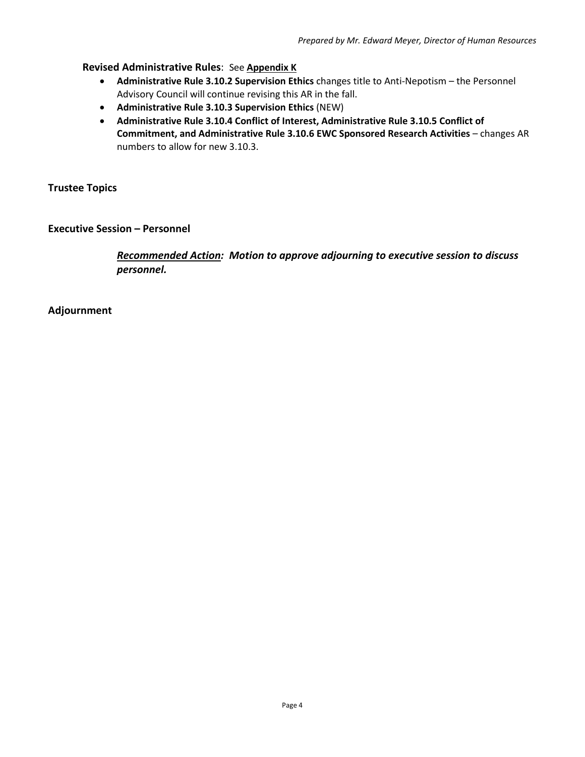### **Revised Administrative Rules**: See **Appendix K**

- **Administrative Rule 3.10.2 Supervision Ethics** changes title to Anti-Nepotism the Personnel Advisory Council will continue revising this AR in the fall.
- **Administrative Rule 3.10.3 Supervision Ethics** (NEW)
- **Administrative Rule 3.10.4 Conflict of Interest, Administrative Rule 3.10.5 Conflict of Commitment, and Administrative Rule 3.10.6 EWC Sponsored Research Activities** – changes AR numbers to allow for new 3.10.3.

**Trustee Topics**

**Executive Session – Personnel**

*Recommended Action: Motion to approve adjourning to executive session to discuss personnel.*

**Adjournment**